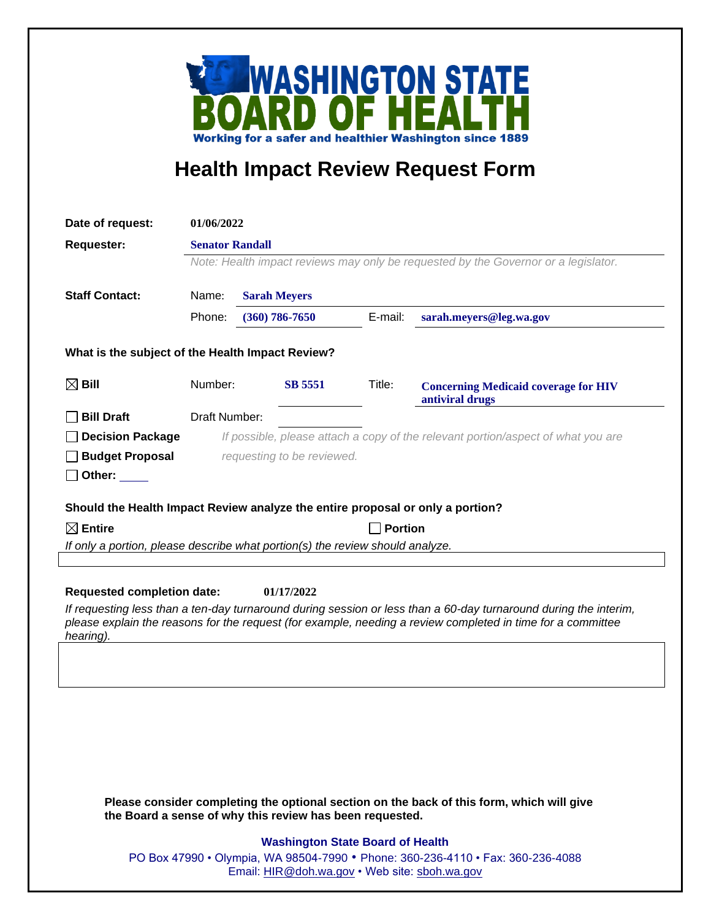

## **Health Impact Review Request Form**

| Date of request:                                                                                                                                                    | 01/06/2022                                                                                                   |  |                     |         |                                                                                                             |  |
|---------------------------------------------------------------------------------------------------------------------------------------------------------------------|--------------------------------------------------------------------------------------------------------------|--|---------------------|---------|-------------------------------------------------------------------------------------------------------------|--|
| <b>Requester:</b>                                                                                                                                                   | <b>Senator Randall</b><br>Note: Health impact reviews may only be requested by the Governor or a legislator. |  |                     |         |                                                                                                             |  |
|                                                                                                                                                                     |                                                                                                              |  |                     |         |                                                                                                             |  |
|                                                                                                                                                                     |                                                                                                              |  |                     |         |                                                                                                             |  |
| <b>Staff Contact:</b>                                                                                                                                               | Name:                                                                                                        |  | <b>Sarah Meyers</b> |         |                                                                                                             |  |
|                                                                                                                                                                     | Phone:                                                                                                       |  | $(360) 786 - 7650$  | E-mail: | sarah.meyers@leg.wa.gov                                                                                     |  |
| What is the subject of the Health Impact Review?                                                                                                                    |                                                                                                              |  |                     |         |                                                                                                             |  |
| $\boxtimes$ Bill                                                                                                                                                    | Number:                                                                                                      |  | <b>SB 5551</b>      | Title:  | <b>Concerning Medicaid coverage for HIV</b><br>antiviral drugs                                              |  |
| <b>Bill Draft</b>                                                                                                                                                   | Draft Number:                                                                                                |  |                     |         |                                                                                                             |  |
| <b>Decision Package</b>                                                                                                                                             | If possible, please attach a copy of the relevant portion/aspect of what you are                             |  |                     |         |                                                                                                             |  |
| <b>Budget Proposal</b>                                                                                                                                              | requesting to be reviewed.                                                                                   |  |                     |         |                                                                                                             |  |
| Other:                                                                                                                                                              |                                                                                                              |  |                     |         |                                                                                                             |  |
|                                                                                                                                                                     |                                                                                                              |  |                     |         |                                                                                                             |  |
| Should the Health Impact Review analyze the entire proposal or only a portion?                                                                                      |                                                                                                              |  |                     |         |                                                                                                             |  |
| $\boxtimes$ Entire                                                                                                                                                  | <b>Portion</b><br>If only a portion, please describe what portion(s) the review should analyze.              |  |                     |         |                                                                                                             |  |
|                                                                                                                                                                     |                                                                                                              |  |                     |         |                                                                                                             |  |
|                                                                                                                                                                     |                                                                                                              |  |                     |         |                                                                                                             |  |
| <b>Requested completion date:</b><br>01/17/2022<br>If requesting less than a ten-day turnaround during session or less than a 60-day turnaround during the interim, |                                                                                                              |  |                     |         |                                                                                                             |  |
| hearing).                                                                                                                                                           |                                                                                                              |  |                     |         | please explain the reasons for the request (for example, needing a review completed in time for a committee |  |
|                                                                                                                                                                     |                                                                                                              |  |                     |         |                                                                                                             |  |
|                                                                                                                                                                     |                                                                                                              |  |                     |         |                                                                                                             |  |
|                                                                                                                                                                     |                                                                                                              |  |                     |         |                                                                                                             |  |
|                                                                                                                                                                     |                                                                                                              |  |                     |         |                                                                                                             |  |
|                                                                                                                                                                     |                                                                                                              |  |                     |         |                                                                                                             |  |
|                                                                                                                                                                     |                                                                                                              |  |                     |         |                                                                                                             |  |
|                                                                                                                                                                     |                                                                                                              |  |                     |         |                                                                                                             |  |
| Please consider completing the optional section on the back of this form, which will give<br>the Board a sense of why this review has been requested.               |                                                                                                              |  |                     |         |                                                                                                             |  |
| <b>Washington State Board of Health</b>                                                                                                                             |                                                                                                              |  |                     |         |                                                                                                             |  |
|                                                                                                                                                                     | PO Box 47990 • Olympia, WA 98504-7990 • Phone: 360-236-4110 • Fax: 360-236-4088                              |  |                     |         |                                                                                                             |  |
|                                                                                                                                                                     | Email: HIR@doh.wa.gov • Web site: sboh.wa.gov                                                                |  |                     |         |                                                                                                             |  |